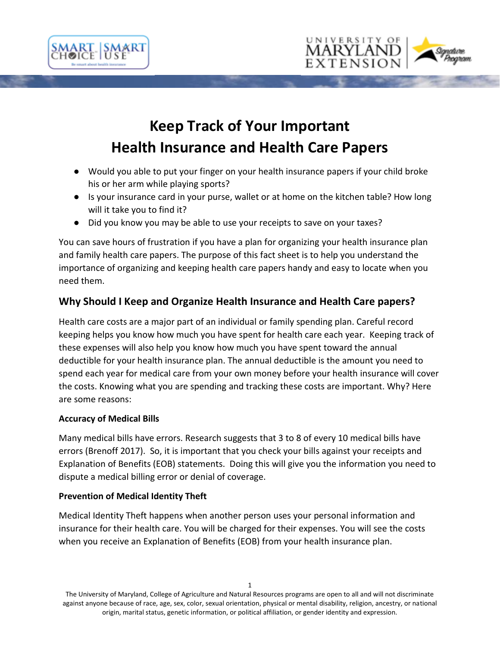





# **Keep Track of Your Important Health Insurance and Health Care Papers**

- Would you able to put your finger on your health insurance papers if your child broke his or her arm while playing sports?
- Is your insurance card in your purse, wallet or at home on the kitchen table? How long will it take you to find it?
- Did you know you may be able to use your receipts to save on your taxes?

You can save hours of frustration if you have a plan for organizing your health insurance plan and family health care papers. The purpose of this fact sheet is to help you understand the importance of organizing and keeping health care papers handy and easy to locate when you need them.

# **Why Should I Keep and Organize Health Insurance and Health Care papers?**

Health care costs are a major part of an individual or family spending plan. Careful record keeping helps you know how much you have spent for health care each year. Keeping track of these expenses will also help you know how much you have spent toward the annual deductible for your health insurance plan. The annual deductible is the amount you need to spend each year for medical care from your own money before your health insurance will cover the costs. Knowing what you are spending and tracking these costs are important. Why? Here are some reasons:

# **Accuracy of Medical Bills**

Many medical bills have errors. Research suggests that 3 to 8 of every 10 medical bills have errors (Brenoff 2017). So, it is important that you check your bills against your receipts and Explanation of Benefits (EOB) statements. Doing this will give you the information you need to dispute a medical billing error or denial of coverage.

# **Prevention of Medical Identity Theft**

Medical Identity Theft happens when another person uses your personal information and insurance for their health care. You will be charged for their expenses. You will see the costs when you receive an Explanation of Benefits (EOB) from your health insurance plan.

The University of Maryland, College of Agriculture and Natural Resources programs are open to all and will not discriminate against anyone because of race, age, sex, color, sexual orientation, physical or mental disability, religion, ancestry, or national origin, marital status, genetic information, or political affiliation, or gender identity and expression.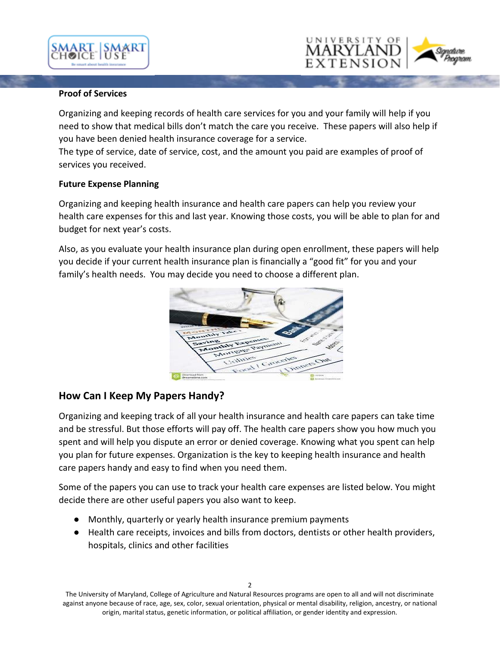



#### **Proof of Services**

Organizing and keeping records of health care services for you and your family will help if you need to show that medical bills don't match the care you receive. These papers will also help if you have been denied health insurance coverage for a service.

The type of service, date of service, cost, and the amount you paid are examples of proof of services you received.

#### **Future Expense Planning**

Organizing and keeping health insurance and health care papers can help you review your health care expenses for this and last year. Knowing those costs, you will be able to plan for and budget for next year's costs.

Also, as you evaluate your health insurance plan during open enrollment, these papers will help you decide if your current health insurance plan is financially a "good fit" for you and your family's health needs. You may decide you need to choose a different plan.



# **How Can I Keep My Papers Handy?**

Organizing and keeping track of all your health insurance and health care papers can take time and be stressful. But those efforts will pay off. The health care papers show you how much you spent and will help you dispute an error or denied coverage. Knowing what you spent can help you plan for future expenses. Organization is the key to keeping health insurance and health care papers handy and easy to find when you need them.

Some of the papers you can use to track your health care expenses are listed below. You might decide there are other useful papers you also want to keep.

- Monthly, quarterly or yearly health insurance premium payments
- Health care receipts, invoices and bills from doctors, dentists or other health providers, hospitals, clinics and other facilities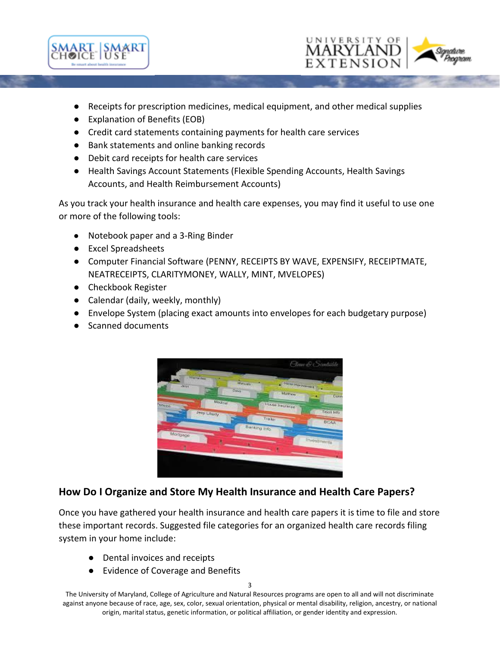



- Receipts for prescription medicines, medical equipment, and other medical supplies
- Explanation of Benefits (EOB)
- Credit card statements containing payments for health care services
- Bank statements and online banking records
- Debit card receipts for health care services
- Health Savings Account Statements (Flexible Spending Accounts, Health Savings Accounts, and Health Reimbursement Accounts)

As you track your health insurance and health care expenses, you may find it useful to use one or more of the following tools:

- Notebook paper and a 3-Ring Binder
- Excel Spreadsheets
- Computer Financial Software (PENNY, RECEIPTS BY WAVE, EXPENSIFY, RECEIPTMATE, NEATRECEIPTS, CLARITYMONEY, WALLY, MINT, MVELOPES)
- Checkbook Register
- Calendar (daily, weekly, monthly)
- Envelope System (placing exact amounts into envelopes for each budgetary purpose)
- Scanned documents



# **How Do I Organize and Store My Health Insurance and Health Care Papers?**

Once you have gathered your health insurance and health care papers it is time to file and store these important records. Suggested file categories for an organized health care records filing system in your home include:

- Dental invoices and receipts
- Evidence of Coverage and Benefits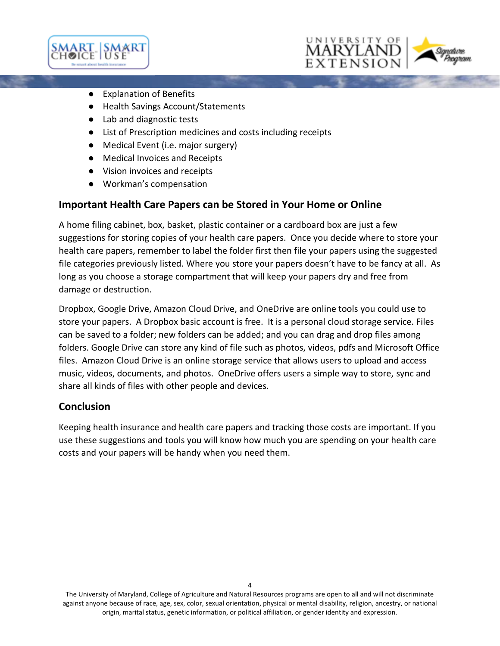





- Health Savings Account/Statements
- Lab and diagnostic tests
- List of Prescription medicines and costs including receipts
- Medical Event (i.e. major surgery)
- Medical Invoices and Receipts
- Vision invoices and receipts
- Workman's compensation

# **Important Health Care Papers can be Stored in Your Home or Online**

A home filing cabinet, box, basket, plastic container or a cardboard box are just a few suggestions for storing copies of your health care papers. Once you decide where to store your health care papers, remember to label the folder first then file your papers using the suggested file categories previously listed. Where you store your papers doesn't have to be fancy at all. As long as you choose a storage compartment that will keep your papers dry and free from damage or destruction.

Dropbox, Google Drive, Amazon Cloud Drive, and OneDrive are online tools you could use to store your papers. A Dropbox basic account is free. It is a personal cloud storage service. Files can be saved to a folder; new folders can be added; and you can drag and drop files among folders. Google Drive can store any kind of file such as photos, videos, pdfs and Microsoft Office files. Amazon Cloud Drive is an online storage service that allows users to upload and access music, videos, documents, and photos. OneDrive offers users a simple way to store, sync and share all kinds of files with other people and devices.

# **Conclusion**

Keeping health insurance and health care papers and tracking those costs are important. If you use these suggestions and tools you will know how much you are spending on your health care costs and your papers will be handy when you need them.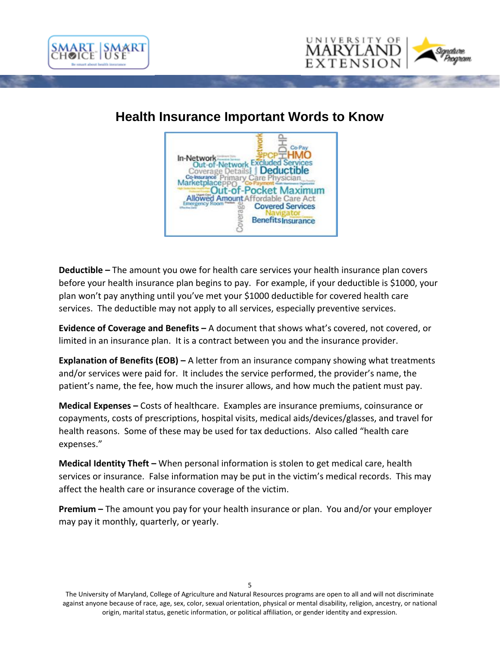



# **Health Insurance Important Words to Know**



**Deductible –** The amount you owe for health care services your health insurance plan covers before your health insurance plan begins to pay. For example, if your deductible is \$1000, your plan won't pay anything until you've met your \$1000 deductible for covered health care services. The deductible may not apply to all services, especially preventive services.

**Evidence of Coverage and Benefits –** A document that shows what's covered, not covered, or limited in an insurance plan. It is a contract between you and the insurance provider.

**Explanation of Benefits (EOB) –** A letter from an insurance company showing what treatments and/or services were paid for. It includes the service performed, the provider's name, the patient's name, the fee, how much the insurer allows, and how much the patient must pay.

**Medical Expenses –** Costs of healthcare. Examples are insurance premiums, coinsurance or copayments, costs of prescriptions, hospital visits, medical aids/devices/glasses, and travel for health reasons. Some of these may be used for tax deductions. Also called "health care expenses."

**Medical Identity Theft –** When personal information is stolen to get medical care, health services or insurance. False information may be put in the victim's medical records. This may affect the health care or insurance coverage of the victim.

**Premium –** The amount you pay for your health insurance or plan. You and/or your employer may pay it monthly, quarterly, or yearly.

The University of Maryland, College of Agriculture and Natural Resources programs are open to all and will not discriminate against anyone because of race, age, sex, color, sexual orientation, physical or mental disability, religion, ancestry, or national origin, marital status, genetic information, or political affiliation, or gender identity and expression.